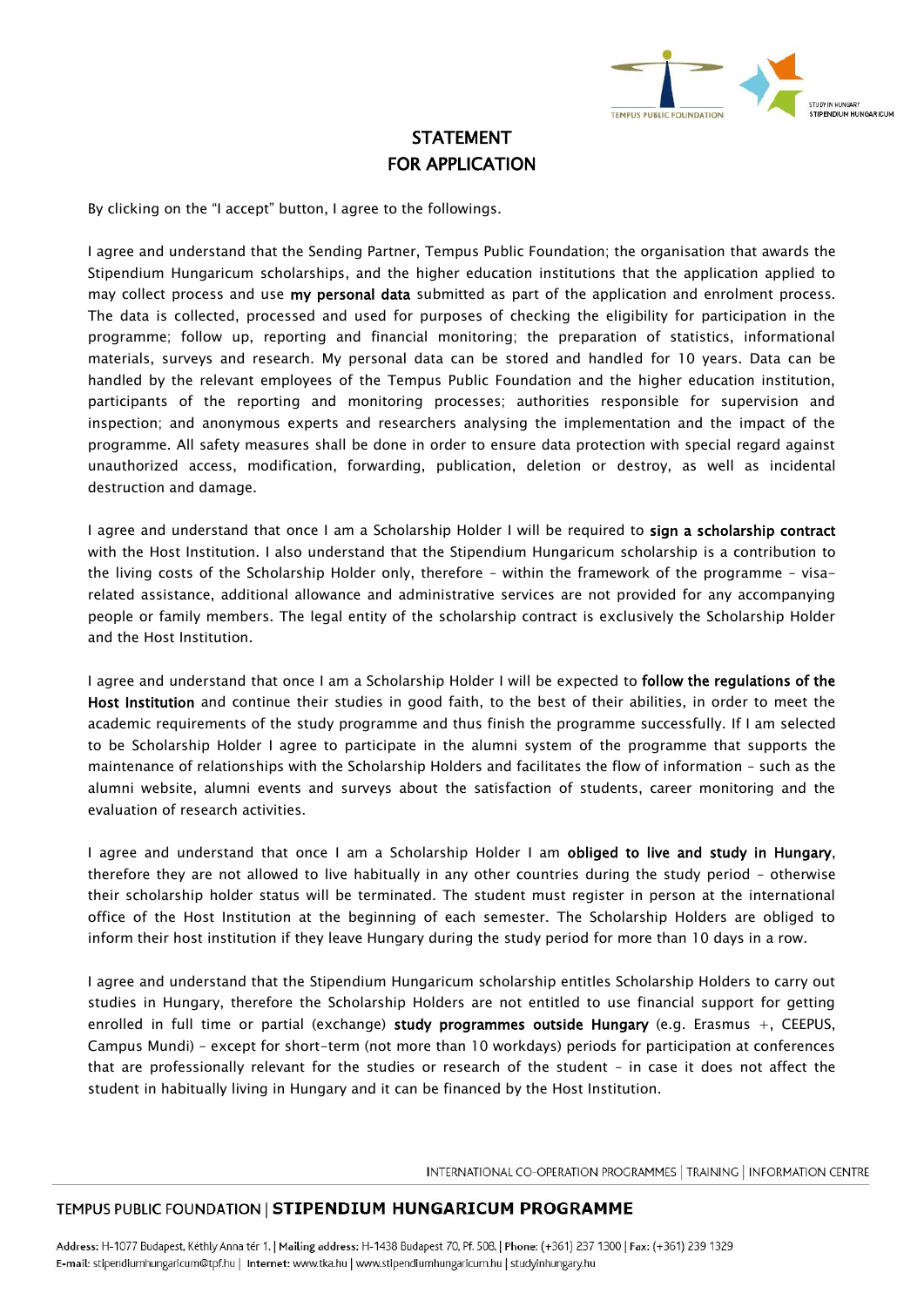

## STATEMENT FOR APPLICATION

By clicking on the "I accept" button, I agree to the followings.

I agree and understand that the Sending Partner, Tempus Public Foundation; the organisation that awards the Stipendium Hungaricum scholarships, and the higher education institutions that the application applied to may collect process and use my personal data submitted as part of the application and enrolment process. The data is collected, processed and used for purposes of checking the eligibility for participation in the programme; follow up, reporting and financial monitoring; the preparation of statistics, informational materials, surveys and research. My personal data can be stored and handled for 10 years. Data can be handled by the relevant employees of the Tempus Public Foundation and the higher education institution, participants of the reporting and monitoring processes; authorities responsible for supervision and inspection; and anonymous experts and researchers analysing the implementation and the impact of the programme. All safety measures shall be done in order to ensure data protection with special regard against unauthorized access, modification, forwarding, publication, deletion or destroy, as well as incidental destruction and damage.

I agree and understand that once I am a Scholarship Holder I will be required to sign a scholarship contract with the Host Institution. I also understand that the Stipendium Hungaricum scholarship is a contribution to the living costs of the Scholarship Holder only, therefore – within the framework of the programme – visarelated assistance, additional allowance and administrative services are not provided for any accompanying people or family members. The legal entity of the scholarship contract is exclusively the Scholarship Holder and the Host Institution.

I agree and understand that once I am a Scholarship Holder I will be expected to follow the regulations of the Host Institution and continue their studies in good faith, to the best of their abilities, in order to meet the academic requirements of the study programme and thus finish the programme successfully. If I am selected to be Scholarship Holder I agree to participate in the alumni system of the programme that supports the maintenance of relationships with the Scholarship Holders and facilitates the flow of information – such as the alumni website, alumni events and surveys about the satisfaction of students, career monitoring and the evaluation of research activities.

I agree and understand that once I am a Scholarship Holder I am obliged to live and study in Hungary, therefore they are not allowed to live habitually in any other countries during the study period – otherwise their scholarship holder status will be terminated. The student must register in person at the international office of the Host Institution at the beginning of each semester. The Scholarship Holders are obliged to inform their host institution if they leave Hungary during the study period for more than 10 days in a row.

I agree and understand that the Stipendium Hungaricum scholarship entitles Scholarship Holders to carry out studies in Hungary, therefore the Scholarship Holders are not entitled to use financial support for getting enrolled in full time or partial (exchange) study programmes outside Hungary (e.g. Erasmus +, CEEPUS, Campus Mundi) – except for short-term (not more than 10 workdays) periods for participation at conferences that are professionally relevant for the studies or research of the student – in case it does not affect the student in habitually living in Hungary and it can be financed by the Host Institution.

INTERNATIONAL CO-OPERATION PROGRAMMES | TRAINING | INFORMATION CENTRE

## TEMPUS PUBLIC FOUNDATION | STIPENDIUM HUNGARICUM PROGRAMME